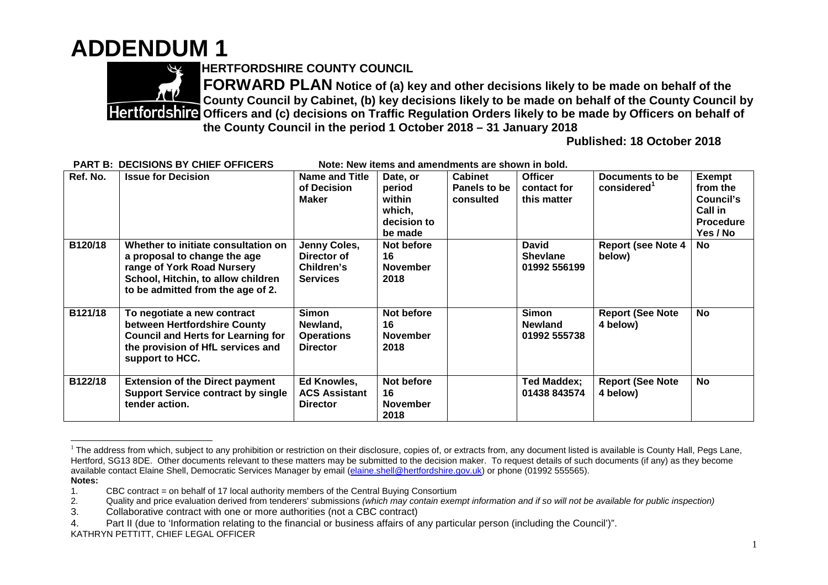## **ADDENDUM 1**



**HERTFORDSHIRE COUNTY COUNCIL**

**FORWARD PLAN Notice of (a) key and other decisions likely to be made on behalf of the County Council by Cabinet, (b) key decisions likely to be made on behalf of the County Council by Partifically States and (c) decisions on Traffic Regulation Orders likely to be made by Officers on behalf of the County Council in the period 1 October 2018 – 31 January 2018**

**Published: 18 October 2018**

| Ref. No. | <b>Issue for Decision</b>                                                                                                                                                    | <b>Name and Title</b><br>of Decision<br><b>Maker</b>         | Date, or<br>period<br>within<br>which,<br>decision to<br>be made | <b>Cabinet</b><br>Panels to be<br>consulted | <b>Officer</b><br>contact for<br>this matter    | Documents to be<br>considered <sup>1</sup> | <b>Exempt</b><br>from the<br>Council's<br>Call in<br><b>Procedure</b><br>Yes / No |
|----------|------------------------------------------------------------------------------------------------------------------------------------------------------------------------------|--------------------------------------------------------------|------------------------------------------------------------------|---------------------------------------------|-------------------------------------------------|--------------------------------------------|-----------------------------------------------------------------------------------|
| B120/18  | Whether to initiate consultation on<br>a proposal to change the age<br>range of York Road Nursery<br>School, Hitchin, to allow children<br>to be admitted from the age of 2. | Jenny Coles,<br>Director of<br>Children's<br><b>Services</b> | Not before<br>16<br><b>November</b><br>2018                      |                                             | <b>David</b><br><b>Shevlane</b><br>01992 556199 | <b>Report (see Note 4</b><br>below)        | No                                                                                |
| B121/18  | To negotiate a new contract<br>between Hertfordshire County<br><b>Council and Herts for Learning for</b><br>the provision of HfL services and<br>support to HCC.             | Simon<br>Newland,<br><b>Operations</b><br><b>Director</b>    | Not before<br>16<br><b>November</b><br>2018                      |                                             | <b>Simon</b><br><b>Newland</b><br>01992 555738  | <b>Report (See Note</b><br>4 below)        | <b>No</b>                                                                         |
| B122/18  | <b>Extension of the Direct payment</b><br><b>Support Service contract by single</b><br>tender action.                                                                        | Ed Knowles,<br><b>ACS Assistant</b><br><b>Director</b>       | Not before<br>16<br><b>November</b><br>2018                      |                                             | Ted Maddex;<br>01438 843574                     | <b>Report (See Note</b><br>4 below)        | No                                                                                |

**PART B: DECISIONS BY CHIEF OFFICERS Note: New items and amendments are shown in bold.**

 $1$  The address from which, subject to any prohibition or restriction on their disclosure, copies of, or extracts from, any document listed is available is County Hall, Pegs Lane, Hertford, SG13 8DE. Other documents relevant to these matters may be submitted to the decision maker. To request details of such documents (if any) as they become available contact Elaine Shell, Democratic Services Manager by email (elaine.shell@hertfordshire.gov.uk) or phone (01992 555565). **Notes:**

<sup>1.</sup> CBC contract = on behalf of 17 local authority members of the Central Buying Consortium<br>2. Quality and price evaluation derived from tenderers' submissions (which may contain exen

<sup>2.</sup> Quality and price evaluation derived from tenderers' submissions *(which may contain exempt information and if so will not be available for public inspection)*

<sup>3.</sup> Collaborative contract with one or more authorities (not a CBC contract)

<sup>4.</sup> Part II (due to 'Information relating to the financial or business affairs of any particular person (including the Council')".

KATHRYN PETTITT, CHIEF LEGAL OFFICER